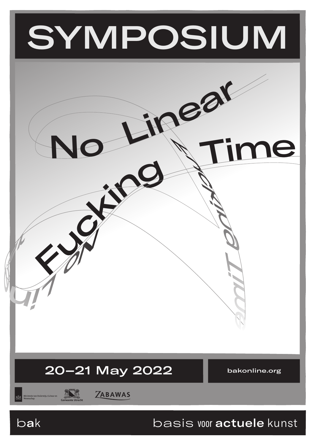

bak basis voor actuele kunst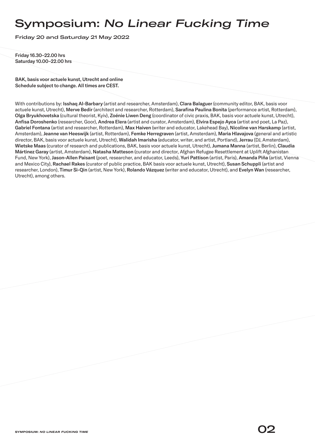# Symposium: *No Linear Fucking Time*

Friday 20 and Saturday 21 May 2022

Friday 16.30–22.00 hrs Saturday 10.00–22.00 hrs

BAK, basis voor actuele kunst, Utrecht and online Schedule subject to change. All times are CEST.

With contributions by: Isshaq Al-Barbary (artist and researcher, Amsterdam), Clara Balaguer (community editor, BAK, basis voor actuele kunst, Utrecht), Merve Bedir (architect and researcher, Rotterdam), Sarafina Paulina Bonita (performance artist, Rotterdam), Olga Bryukhovetska (cultural theorist, Kyiv), Zoénie Liwen Deng (coordinator of civic praxis, BAK, basis voor actuele kunst, Utrecht), Anfisa Doroshenko (researcher, Goor), Andrea Elera (artist and curator, Amsterdam), Elvira Espejo Ayca (artist and poet, La Paz), Gabriel Fontana (artist and researcher, Rotterdam), Max Haiven (writer and educator, Lakehead Bay), Nicoline van Harskamp (artist, Amsterdam), Jeanne van Heeswijk (artist, Rotterdam), Femke Herregraven (artist, Amsterdam), Maria Hlavajova (general and artistic director, BAK, basis voor actuele kunst, Utrecht), Walidah Imarisha (educator, writer, and artist, Portland), Jerrau (DJ, Amsterdam), Wietske Maas (curator of research and publications, BAK, basis voor actuele kunst, Utrecht), Jumana Manna (artist, Berlin), Claudia Mártinez Garay (artist, Amsterdam), Natasha Matteson (curator and director, Afghan Refugee Resettlement at Uplift Afghanistan Fund, New York), Jason-Allen Paisant (poet, researcher, and educator, Leeds), Yuri Pattison (artist, Paris), Amanda Piña (artist, Vienna and Mexico City), Rachael Rakes (curator of public practice, BAK basis voor actuele kunst, Utrecht), Susan Schuppli (artist and researcher, London), Timur Si-Qin (artist, New York), Rolando Vázquez (writer and educator, Utrecht), and Evelyn Wan (researcher, Utrecht), among others.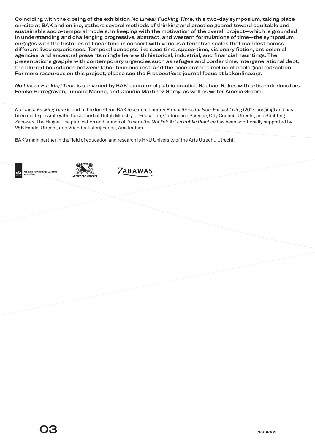Coinciding with the closing of the exhibition *No Linear Fucking Time*, this two-day symposium, taking place on-site at BAK and online, gathers several methods of thinking and practice geared toward equitable and sustainable socio-temporal models. In keeping with the motivation of the overall project—which is grounded in understanding and challenging progressive, abstract, and western formulations of time—the symposium engages with the histories of linear time in concert with various alternative scales that manifest across different lived experiences. Temporal concepts like seed time, space-time, visionary fiction, anticolonial agencies, and ancestral presents mingle here with historical, industrial, and financial hauntings. The presentations grapple with contemporary urgencies such as refugee and border time, intergenerational debt, the blurred boundaries between labor time and rest, and the accelerated timeline of ecological extraction. For more resources on this project, please see the *Prospections* journal focus at bakonline.org.

*No Linear Fucking Time* is convened by BAK's curator of public practice Rachael Rakes with artist-interlocutors Femke Herregraven, Jumana Manna, and Claudia Martínez Garay, as well as writer Amelia Groom,

*No Linear Fucking Time* is part of the long-term BAK research itinerary *Propositions for Non-Fascist Living* (2017–ongoing) and has been made possible with the support of Dutch Ministry of Education, Culture and Science; City Council, Utrecht; and Stichting Zabawas, The Hague. The publication and launch of *Toward the Not Yet: Art as Public Practice* has been additionally supported by VSB Fonds, Utrecht, and VriendenLoterij Fonds, Amsterdam.

BAK's main partner in the field of education and research is HKU University of the Arts Utrecht, Utrecht.

**ZABAWAS** .<br>Ministerie van Onderwijs, Cultuur er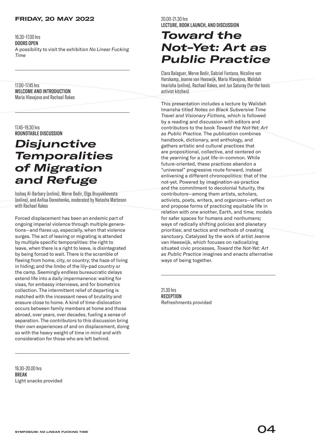### **FRIDAY, 20 MAY 2022**

16.30–17.00 hrs DOORS OPEN A possibility to visit the exhibition *No Linear Fucking Time*

17.00–17.45 hrs WELCOME AND INTRODUCTION Maria Hlavajova and Rachael Rakes

17.45–19.30 hrs ROUNDTABLE DISCUSSION

# *Disjunctive Temporalities of Migration and Refuge*

Isshaq Al-Barbary (online), Merve Bedir, Olga Bruyukhovesta (online), and Anfisa Doroshenko, moderated by Natasha Matteson with Rachael Rakes

Forced displacement has been an endemic part of ongoing imperial violence through multiple generations—and flares up, especially, when that violence surges. The act of leaving or migrating is attended by multiple specific temporalities: the right to leave, when there is a right to leave, is disintegrated by being forced to wait. There is the scramble of fleeing from home, city, or country; the haze of living in hiding; and the limbo of the lily-pad country or the camp. Seemingly endless bureaucratic delays extend life into a daily impermanence: waiting for visas, for embassy interviews, and for biometrics collection. The intermittent relief of departing is matched with the incessant news of brutality and erasure close to home. A kind of time-dislocation occurs between family members at home and those abroad, over years, over decades, fueling a sense of separation. The contributors to this discussion bring their own experiences of and on displacement, doing so with the heavy weight of time in mind and with consideration for those who are left behind.

19.30–20.00 hrs BREAK Light snacks provided

### 20.00–21.30 hrs LECTURE, BOOK LAUNCH, AND DISCUSSION

# *Toward the Not-Yet: Art as Public Practice*

Clara Balaguer, Merve Bedir, Gabriel Fontana, Nicoline van Harskamp, Jeanne van Heeswijk, Maria Hlavajova, Walidah Imarisha (online), Rachael Rakes, and Jun Saturay (for the basic activist kitchen)

This presentation includes a lecture by Walidah Imarisha titled *Notes on Black Subversive Time Travel and Visionary Fictions,* which is followed by a reading and discussion with editors and contributors to the book *Toward the Not-Yet: Art as Public Practice.* The publication combines handbook, dictionary, and anthology, and gathers artistic and cultural practices that are propositional, collective, and centered on the yearning for a just life-in-common. While future-oriented, these practices abandon a "universal" progressive route forward, instead enlivening a different chronopolitics: that of the not-yet. Powered by imagination-as-practice and the commitment to decolonial futurity, the contributors—among them artists, scholars, activists, poets, writers, and organizers—reflect on and propose forms of practicing equitable life in relation with one another, Earth, and time; models for safer spaces for humans and nonhumans; ways of radically shifting policies and planetary priorities; and tactics and methods of creating sanctuary. Catalyzed by the work of artist Jeanne van Heeswijk, which focuses on radicalizing situated civic processes, *Toward the Not-Yet: Art as Public Practice* imagines and enacts alternative ways of being together.

21.30 hrs RECEPTION Refreshments provided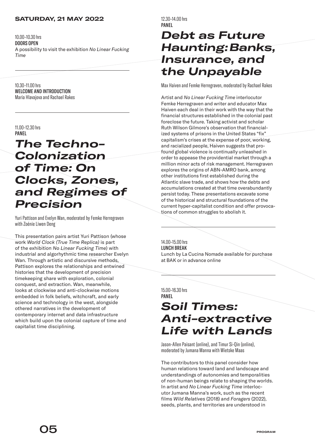### **SATURDAY, 21 MAY 2022**

10.00–10.30 hrs DOORS OPEN A possibility to visit the exhibition *No Linear Fucking Time*

10.30–11.00 hrs WELCOME AND INTRODUCTION Maria Hlavajova and Rachael Rakes

11.00–12.30 hrs PANEL

# *The Techno-Colonization of Time: On Clocks, Zones, and Regimes of Precision*

Yuri Pattison and Evelyn Wan, moderated by Femke Herregraven with Zoénie Liwen Deng

This presentation pairs artist Yuri Pattison (whose work *World Clock (True Time Replica)* is part of the exhibition *No Linear Fucking Time*) with industrial and algorhythmic time researcher Evelyn Wan. Through artistic and discursive methods, Pattison explores the relationships and entwined histories that the development of precision timekeeping share with exploration, colonial conquest, and extraction. Wan, meanwhile, looks at clockwise and anti-clockwise motions embedded in folk beliefs, witchcraft, and early science and technology in the west, alongside othered narratives in the development of contemporary internet and data infrastructure which build upon the colonial capture of time and capitalist time disciplining.

12.30–14.00 hrs PANEL

# *Debt as Future Haunting: Banks, Insurance, and the Unpayable*

Max Haiven and Femke Herregraven, moderated by Rachael Rakes

Artist and *No Linear Fucking Time* interlocutor Femke Herregraven and writer and educator Max Haiven each deal in their work with the way that the financial structures established in the colonial past foreclose the future. Taking activist and scholar Ruth Wilson Gilmore's observation that financialized systems of prisons in the United States "fix" capitalism's crises at the expense of poor, working, and racialized people, Haiven suggests that profound global violence is continually unleashed in order to appease the providential market through a million minor acts of risk management. Herregraven explores the origins of ABN-AMRO bank, among other institutions first established during the Atlantic slave trade, and shows how the debts and accumulations created at that time overabundantly persist today. These presentations excavate some of the historical and structural foundations of the current hyper-capitalist condition and offer provocations of common struggles to abolish it.

14.00–15.00 hrs LUNCH BREAK Lunch by La Cucina Nomade available for purchase at BAK or in advance online

15.00–16.30 hrs PANEL

# *Soil Times: Anti-extractive Life with Lands*

Jason-Allen Paisant (online), and Timur Si-Qin (online), moderated by Jumana Manna with Wietske Maas

The contributors to this panel consider how human relations toward land and landscape and understandings of autonomies and temporalities of non-human beings relate to shaping the worlds. In artist and *No Linear Fucking Time* interlocutor Jumana Manna's work, such as the recent films *Wild Relatives* (2018) and *Foragers* (2022)*,*  seeds, plants, and territories are understood in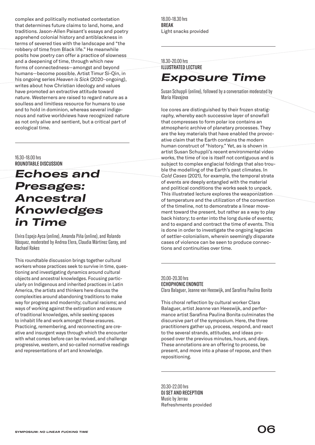complex and politically motivated contestation that determines future claims to land, home, and traditions. Jason-Allen Paisant's essays and poetry apprehend colonial history and antiblackness in terms of severed ties with the landscape and "the robbery of time from Black life." He meanwhile posits how poetry can offer a practice of slowness and a deepening of time, through which new forms of connectedness—amongst and beyond humans—become possible. Artist Timur Si-Qin, in his ongoing series *Heaven is Sick* (2020–ongoing), writes about how Christian ideology and values have promoted an extractive attitude toward nature. Westerners are raised to regard nature as a soulless and limitless resource for humans to use and to hold in dominion, whereas several indigenous and native worldviews have recognized nature as not only alive and sentient, but a critical part of ecological time.

16.30–18.00 hrs ROUNDTABLE DISCUSSION

# *Echoes and Presages: Ancestral Knowledges in Time*

Elvira Espejo Ayca (online), Amanda Piña (online), and Rolando Vásquez, moderated by Andrea Elera, Claudia Mártinez Garay, and Rachael Rakes

This roundtable discussion brings together cultural workers whose practices seek to survive in time, questioning and investigating dynamics around cultural objects and ancestral knowledges. Focusing particularly on Indigenous and inherited practices in Latin America, the artists and thinkers here discuss the complexities around abandoning traditions to make way for progress and modernity; cultural racisms; and ways of working against the extirpation and erasure of traditional knowledges, while seeking spaces to inhabit life and work amongst these erasures. Practicing, remembering, and reconnecting are creative and insurgent ways through which the encounter with what comes before can be revived, and challenge progressive, western, and so-called normative readings and representations of art and knowledge.

18.00–18.30 hrs BREAK Light snacks provided

18.30–20.00 hrs ILLUSTRATED LECTURE

### *Exposure Time*

Susan Schuppli (online), followed by a conversation moderated by Maria Hlavajova

Ice cores are distinguished by their frozen stratigraphy, whereby each successive layer of snowfall that compresses to form polar ice contains an atmospheric archive of planetary processes. They are the key materials that have enabled the provocative claim that the Earth contains the modern human construct of "history." Yet, as is shown in artist Susan Schuppli's recent environmental video works, the time of ice is itself not contiguous and is subject to complex englacial foldings that also trouble the modelling of the Earth's past climates. In *Cold Cases* (2021), for example, the temporal strata of events are deeply entangled with the material and political conditions the works seek to unpack. This illustrated lecture explores the weaponization of temperature and the utilization of the convention of the timeline, not to demonstrate a linear movement toward the present, but rather as a way to play back history; to enter into the long durée of events; and to expand and contract the time of events. This is done in order to investigate the ongoing legacies of settler-colonialism, wherein seemingly disparate cases of violence can be seen to produce connections and continuities over time.

#### 20.00–20.30 hrs ECHOPHONIC ENDNOTE Clara Balaguer, Jeanne van Heeswijk, and Sarafina Paulina Bonita

This choral reflection by cultural worker Clara Balaguer, artist Jeanne van Heeswijk, and performance artist Sarafina Paulina Bonita culminates the discursive part of the symposium. Here, the three practitioners gather up, process, respond, and react to the several strands, attitudes, and ideas proposed over the previous minutes, hours, and days. These annotations are an offering to process, be present, and move into a phase of repose, and then repositioning.

20.30–22.00 hrs DJ SET AND RECEPTION Music by Jerrau Refreshments provided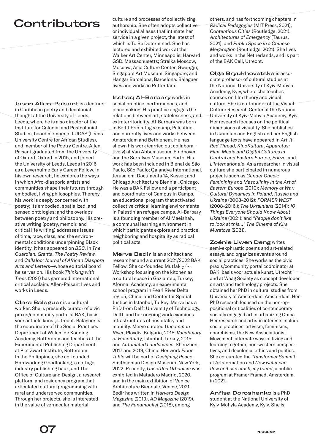# Contributors

Jason Allen-Paisant is a lecturer in Caribbean poetry and decolonial thought at the University of Leeds, Leeds, where he is also director of the Institute for Colonial and Postcolonial Studies, board member of LUCAS (Leeds University Centre for African Studies), and member of the Poetry Centre. Allen-Paisant graduated from the University of Oxford, Oxford in 2015, and joined the University of Leeds, Leeds in 2016 as a Leverhulme Early Career Fellow. In his own research, he explores the ways in which Afro-diasporic artists and communities shape their futures through embodied, living philosophies. Thereby, his work is deeply concerned with poetry; its embodied, spatialized, and sensed ontologies; and the overlaps between poetry and philosophy. His creative writing (poetry, memoir, and critical life writing) addresses issues of time, race, class, and the environmental conditions underpinning Black identity. It has appeared on *BBC,* in *The Guardian, Granta, The Poetry Review,* and *Callaloo: Journal of African Diaspora Arts and Letters*—whose editorial board he serves on. His book *Thinking with Trees* (2021) has garnered international critical acclaim. Allen-Paisant lives and works in Leeds.

Clara Balaguer is a cultural worker. She is presently curator of civic praxis/community portal at BAK, basis voor actuele kunst, Utrecht. Balaguer is the coordinator of the Social Practices Department at Willem de Kooning Academy, Rotterdam and teaches at the Experimental Publishing Department at Piet Zwart Institute, Rotterdam. In the Philippines, she co-founded Hardworking Goodlooking, a cottage industry publishing hauz, and The Office of Culture and Design, a research platform and residency program that articulated cultural programming with rural and underserved communities. Through her projects, she is interested in the value of vernacular material

culture and processes of collectivizing authorship. She often adopts collective or individual aliases that intimate her service in a given project, the latest of which is To Be Determined. She has lectured and exhibited work at the Walker Art Center, Minneapolis; Harvard GSD, Massachusetts; Strelka Moscow, Moscow; Asia Culture Center, Gwangju; Singapore Art Museum, Singapore; and Hangar Barcelona, Barcelona. Balaguer lives and works in Rotterdam.

Isshaq Al-Barbary works in social practice, performances, and placemaking. His practice engages the relations between art, statelessness, and extraterritoriality. Al-Barbary was born in Beit Jibrin refugee camp, Palestine, and currently lives and works between Amsterdam and Bethlehem. He has shown his work (carried out collaboratively) at Van Abbemuseum, Eindhoven and the Serralves Museum, Porto. His work has been included in Bienal de São Paulo, São Paulo; Qalandya International, Jerusalem; Documenta 14, Kassel; and Chicago Architecture Biennial, Chicago. He was a BAK Fellow and a participant and coordinator of Campus in Camps, an educational program that activated collective critical learning environments in Palestinian refugee camps. Al-Barbary is a founding member of Al Maeishah, a communal learning environment in which participants explore and practice neighboring and hospitality as radical political acts.

Merve Bedir is an architect and researcher and a current 2021/2022 BAK Fellow. She co-founded Mutfak Workshop focusing on the kitchen as a cultural space in Gaziantep, Turkey; Aformal Academy, an experimental school program in Pearl River Delta region, China; and Center for Spatial Justice in Istanbul, Turkey. Merve has a PhD from Delft University of Technology, Delft, and her ongoing work examines infrastructures of hospitality and mobility. Merve curated *Uncommon River*, Plovdiv, Bulgaria, 2015; *Vocabulary of Hospitality*, Istanbul, Turkey, 2015; and *Automated Landscapes*, Shenzhen, 2017 and 2019, China. Her work *Floor Table* will be part of *Designing Peace*, Smithsonian Design Museum, New York, 2022. Recently, *Unsettled Urbanism* was exhibited in Matadero Madrid, 2020, and in the main exhibition of Venice Architecture Biennale, Venice, 2021. Bedir has written in *Harvard Design Magazine* (2019), *AD Magazine* (2019), and *The Funambulist* (2018), among

others, and has forthcoming chapters in *Radical Pedagogies* (MIT Press, 2021), *Contentious Cities* (Routledge, 2021), *Architectures of Emergency* (Taurus, 2021), and *Public Space in a Chinese Megaregion* (Routledge, 2021). She lives and works in the Netherlands, and is part of the BAK Cell, Utrecht.

Olga Bryukhovetska is associate professor of cultural studies at the National University of Kyiv-Mohyla Academy, Kyiv, where she teaches courses on film theory and visual culture. She is co-founder of the Visual Culture Research Center at the National University of Kyiv-Mohyla Academy, Kyiv. Her research focuses on the political dimensions of visuality. She publishes in Ukrainian and English and her English language texts have appeared in *Art-It*, *Red Thread*, *KinoKultura*, *Apparatus: Film, Media and Digital Cultures in Central and Eastern Europe, Frieze*, and *L'Internationale*. As a researcher in visual culture she participated in numerous projects such as *Gender Check: Femininity and Masculinity in the Art of Eastern Europe* (2010); *Memory at War: Cultural Dynamics in Poland, Russia and Ukraine* (2008–2012); *FORMER WEST*  (2008–2016 ); *The Ukrainians* (2014); *10 Things Everyone Should Know About Ukraine* (2021); and *"People don't like to look at this…" The Cinema of Kira Muratova* (2021).

Zoénie Liwen Deng writes semi-ekphrastic poems and art-related essays, and organizes events around social practices. She works as the civic praxis/community portal coordinator at BAK, basis voor actuele kunst, Utrecht and at Waag Society as concept developer on arts and technology projects. She obtained her PhD in cultural studies from University of Amsterdam, Amsterdam. Her PhD research focused on the non-oppositional criticalities of contemporary socially engaged art in urbanizing China. Her research and artistic interests include social practices, artivism, feminisms, anarchisms, the New Associationist Movement, alternate ways of living and learning together, non-western perspectives, and decolonial ethics and politics. She co-curated the *Transformer Summit* at Artsformation and *Now water can flow or it can crash, my friend*, a public program at Framer Framed, Amsterdam, in 2021.

Anfisa Doroshenko is a PhD student at the National University of Kyiv-Mohyla Academy, Kyiv. She is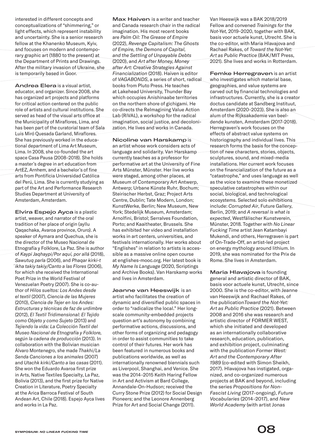interested in different concepts and conceptualizations of "shimmering," or light effects, which represent instability and uncertainty. She is a senior research fellow at the Khanenko Museum, Kyiv, and focuses on modern and contemporary graphic art (1880 to the present) at the Department of Prints and Drawings. After the military invasion of Ukraine, she is temporarily based in Goor.

Andrea Elera is a visual artist, educator, and organizer. Since 2008, she has organized art projects and platforms for critical action centered on the public role of artists and cultural institutions. She served as head of the visual arts office at the Municipality of Miraflores, Lima, and has been part of the curatorial team of Sala Luis Miró Quesada Garland, Miraflores. She has previously worked in the educational department of Lima Art Museum, Lima. In 2008, she co-founded the art space Casa Pausa (2008–2018). She holds a master's degree in art education from ArtEZ, Arnhem, and a bachelor's of fine arts from Pontificia Universidad Católica del Perú, Lima. She is currently studying as part of the Art and Performance Research Studies Department at University of Amsterdam, Amsterdam.

Elvira Espejo Ayca is a plastic artist, weaver, and narrator of the oral tradition of her place of origin (ayllu Qaqachaka, Avaroa province, Oruro). A speaker of Aymara and Quechua, she is the director of the Museo Nacional de Etnografía y Folklore, La Paz. She is author of *Kaypi Jaqhaypi/Por aquí, por allá* (2018), *Sawutuq parla* (2006), and *Phaqar kirki-t ́ikha takiy takiy/Canto a las Flores* (2006), for which she received the International Poet Prize in the World Festival of Venezuelan Poetry (2007). She is co-author of *Hilos sueltos: Los Andes desde el textil* (2007), *Ciencia de las Mujeres* (2010), *Ciencia de Tejer en los Andes: Estructuras y técnicas de faz de urdimbre* (2012), *El Textil Tridimensional: El Tejido como Objeto y como Sujeto* (2013) and *Tejiendo la vida: La Colección Textil del Museo Nacional de Etnografía y Folklore, según la cadena de producción* (2013). In collaboration with the Bolivian musician Álvaro Montenegro, she made *Thakhi/La Senda Canciones a los animales* (2007) and *Utachk kirki/Canto a las casas* (2011). She won the Eduardo Avaroa first prize in Arts, Native Textiles Specialty, La Paz, Bolivia (2013), and the first prize for Native Creation in Literature, Poetry Specialty at the Arica Barroca Festival of South Andean Art, Chile (2018). Espejo Ayca lives and works in La Paz.

Max Haiven is a writer and teacher and Canada research chair in the radical imagination. His most recent books are *Palm Oil: The Grease of Empire* (2022), *Revenge Capitalism: The Ghosts of Empire, the Demons of Capital, and the Settling of Unpayable Debts*  (2020), and *Art after Money, Money after Art: Creative Strategies Against Financialization* (2018). Haiven is editor of *VAGABONDS*, a series of short, radical books from Pluto Press. He teaches at Lakehead University, Thunder Bay which occupies Anishinaabe territories on the northern shore of gichigami. He co-directs the ReImagining Value Action Lab (RiVAL), a workshop for the radical imagination, social justice, and decolonization. He lives and works in Canada.

Nicoline van Harskamp is an artist whose work considers acts of language and solidarity. Van Harskamp currently teaches as a professor for performative art at the University of Fine Arts Münster, Münster. Her live works were staged, among other places, at Museum of Contemporary Art Antwerp, Antwerp; Urbane Künste Ruhr, Bochum; Steirischer Herbst, Graz; Project Arts Centre, Dublin; Tate Modern, London; KunstWerke, Berlin; New Museum, New York; Stedelijk Museum, Amsterdam; Arnolfini, Bristol; Serralves Foundation, Porto; and Kaaitheater, Brussels. She has exhibited her video and installation works in art centers, universities, and festivals internationally. Her works about "Englishes" in relation to artists is accessible as a massive online open course at englishes-mooc.org. Her latest book is *My Name Is Language* (2020, Scriptings and Archive Books). Van Harskamp works and lives in Amsterdam.

Jeanne van Heeswijk is an artist who facilitates the creation of dynamic and diversified public spaces in order to "radicalize the local." Her longscale community-embedded projects question art's autonomy by combining performative actions, discussions, and other forms of organizing and pedagogy in order to assist communities to take control of their futures. Her work has been featured in numerous books and publications worldwide, as well as internationally renowned biennials such as Liverpool, Shanghai, and Venice. She was the 2014–2015 Keith Haring Fellow in Art and Activism at Bard College, Annandale-On-Hudson; received the Curry Stone Prize (2012) for Social Design Pioneers; and the Leonore Annenberg Prize for Art and Social Change (2011).

Van Heeswijk was a BAK 2018/2019 Fellow and convened *Trainings for the Not-Yet,* 2019–2020, together with BAK, basis voor actuele kunst, Utrecht. She is the co-editor, with Maria Hlavajova and Rachael Rakes, of *Toward the Not-Yet: Art as Public Practice* (BAK/MIT Press, 2021)*.* She lives and works in Rotterdam.

Femke Herregraven is an artist who investigates which material base, geographies, and value systems are carved out by financial technologies and infrastructures. Currently, she is a creator doctus candidate at Sandberg Instituut, Amsterdam (2020–2023). She is also an alum of the Rijksakademie van beeldende kunsten, Amsterdam (2017–2018). Herregraven's work focuses on the effects of abstract value systems on historiography and individual lives. This research forms the basis for the conception of new characters, stories, objects, sculptures, sound, and mixed-media installations. Her current work focuses on the financialization of the future as a "catastrophe," and uses language as well as the voice to examine these monetized speculative catastrophes within our social, biological, and technological ecosystems. Selected solo exhibitions include: *Corrupted Air*, Future Gallery, Berlin, 2019; and *A reversal is what is expected*, Westfälischer Kunstverein, Münster, 2018. Together with *No Linear Fucking Time* artist Jean Katambayi Mukendi, and others, Herregraven is part of On-Trade-Off, an artist-led project on energy mythology around lithium. In 2019, she was nominated for the Prix de Rome. She lives in Amsterdam.

Maria Hlavajova is founding general and artistic director of BAK, basis voor actuele kunst, Utrecht, since 2000. She is the co-editor, with Jeanne van Heeswijk and Rachael Rakes, of the publication*Toward the Not-Yet: Art as Public Practice* (2021). Between 2008 and 2016 she was research and artistic director of FORMER WEST, which she initiated and developed as an internationally collaborative research, education, publication, and exhibition project, culminating with the publication *Former West: Art and the Contemporary After 1989* (co-edited with Simon Sheikh, 2017). Hlavajova has instigated, organized, and co-organized numerous projects at BAK and beyond, including the series *Propositions for Non-Fascist Living* (2017–ongoing), *Future Vocabularies* (2014–2017), and *New World Academy* (with artist Jonas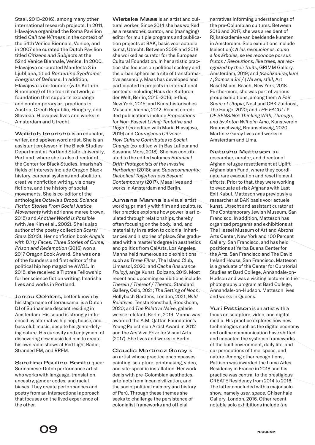Staal, 2013–2016), among many other international research projects. In 2011, Hlavajova organized the Roma Pavilion titled *Call the Witness* in the context of the 54th Venice Biennale, Venice, and in 2007 she curated the Dutch Pavilion titled *Citizens and Subjects* at the 52nd Venice Biennale, Venice. In 2000, Hlavajova co-curated Manifesta 3 in Ljubljana, titled *Borderline Syndrome: Energies of Defense*. In addition, Hlavajova is co-founder (with Kathrin Rhomberg) of the tranzit network, a foundation that supports exchange and contemporary art practices in Austria, Czech Republic, Hungary, and Slovakia. Hlavajova lives and works in Amsterdam and Utrecht.

Walidah Imarisha is an educator, writer, and spoken word artist. She is an assistant professor in the Black Studies Department at Portland State University, Portland, where she is also director of the Center for Black Studies. Imarisha's fields of interests include Oregon Black history, carceral systems and abolition, creative nonfiction writing, visionary fictions, and the history of social movements. She is co-editor of the anthologies *Octavia's Brood: Science Fiction Stories From Social Justice Movements* (with adrienne maree brown, 2015) and *Another World is Possible* (with Jee Kim et al., 2002). She is also author of the poetry collection *Scars/ Stars* (2013). Her nonfiction book *Angels with Dirty Faces: Three Stories of Crime, Prison and Redemption* (2016) won a 2017 Oregon Book Award. She was one of the founders and first editor of the political hip hop magazine *AWOL.* In 2015, she received a Tiptree Fellowship for her science fiction writing. Imarisha lives and works in Portland.

Jerrau Oehlers, better known by his stage name of Jerrausama, is a Dutch DJ of Surinamese descent residing in Amsterdam. His sound is strongly influenced by alternative hip hop, house, and bass club music, despite his genre-defying nature. His curiosity and enjoyment of discovering new music led him to create his own radio shows at Red Light Radio, Stranded FM, and RRFM.

Sarafina Paulina Bonita queer Surinamese-Dutch performance artist who works with language, translation, ancestry, gender codes, and racial biases. They create performances and poetry from an intersectional approach that focuses on the lived experience of the other.

Wietske Maas is an artist and cultural worker. Since 2014 she has worked as a researcher, curator, and (managing) editor for multiple programs and publication projects at BAK, basis voor actuele kunst, Utrecht. Between 2008 and 2018 she worked as curator for the European Cultural Foundation. In her artistic practice she focuses on political ecology and the urban sphere as a site of transformative assembly. Maas has developed and participated in projects in international contexts including Haus der Kulturen der Welt, Berlin, 2015–2016; e-flux, New York, 2015; and Kunsthistorisches Museum, Vienna, 2012. Recent co-edited publications include *Propositions for Non-Fascist Living: Tentative and Urgent* (co-edited with Maria Hlavajova, 2019) and *Courageous Citizens: How Culture Contributes to Social Change* (co-edited with Bas Lafleur and Susanne Mors, 2018). She has contributed to the edited volumes *Botanical Drift: Protagonists of the Invasive Herbarium* (2018); and *Supercommunity: Diabolical Togetherness Beyond Contemporary* (2017). Maas lives and works in Amsterdam and Berlin.

Jumana Manna is a visual artist working primarily with film and sculpture. Her practice explores how power is articulated through relationships, thereby often focusing on the body, land, and materiality in relation to colonial inheritances and histories of place. She graduated with a master's degree in aesthetics and politics from CalArts, Los Angeles. Manna held numerous solo exhibitions such as *Three Films*, The Island Club, Limassol, 2020; and *Cache (Insurance Policy)*, ar/ge Kunst, Bolzano, 2019. Most recent and upcoming exhibitions include *Therein / Thereof / Thereto*, Standard Gallery, Oslo, 2021; *The Setting of Noon*, Hollybush Gardens, London, 2021; *Wild Relatives*, Tensta Konsthall, Stockholm, 2020; and *The Relative Naive*, galerie weisser elefant, Berlin, 2019. Manna was awarded the A.M. Qattan Foundation's Young Palestinian Artist Award in 2012 and the Ars Viva Prize for Visual Arts (2017). She lives and works in Berlin.

Claudia Martínez Garay is an artist whose practice encompasses painting, sculpture, printmaking, video, and site-specific installation. Her work deals with pre-Colombian aesthetics, artefacts from Incan civilization, and the socio-political memory and history of Perú. Through these themes she seeks to challenge the persistence of colonialist frameworks and official

narratives informing understandings of the pre-Columbian cultures. Between 2016 and 2017, she was a resident of Rijksakademie van beeldende kunsten in Amsterdam. Solo exhibitions include (selection): *A las revoluciones, como a los árboles, se les reconoce por sus frutos / Revolutions, like trees, are recognized by their fruits*, GRIMM Gallery, Amsterdam, 2019; and *¡Kachkaniraqkun! / ¡Somos aún! / ¡We are, still!*, Art Basel Miami Beach, New York, 2018. Furthermore, she was part of various group exhibitions, among them *A Fair Share of Utopia*, Nest and CBK Zuidoost, The Hauge, 2020; and *THE FACULTY OF SENSING: Thinking With, Through, and by Anton Wilhelm Amo*, Kunstverein Braunschweig, Braunschweig, 2020. Martínez Garay lives and works in Amsterdam and Lima.

Natasha Matteson is a

researcher, curator, and director of Afghan refugee resettlement at Uplift Afghanistan Fund, where they coordinate rare evacuation and resettlement efforts. Prior to that, they were working to evacuate at-risk Afghans with Last Exit Kabul. Matteson was previously a researcher at BAK basis voor actuele kunst, Utrecht and assistant curator at The Contemporary Jewish Museum, San Francisco. In addition, Matteson has organized programs and exhibitions at The Hessel Museum of Art and Abrons Arts Center, New York and 100 Percent Gallery, San Francisco, and has held positions at Yerba Buena Center for the Arts, San Francisco and The David Ireland House, San Francisco. Matteson is a graduate of the Center for Curatorial Studies at Bard College, Annandale-on-Hudson and was a visiting lecturer in the photography program at Bard College, Annandale-on-Hudson. Matteson lives and works in Queens.

Yuri Pattison is an artist with a focus on sculpture, video, and digital media. His practice explores how new technologies such as the digital economy and online communication have shifted and impacted the systemic frameworks of the built environment, daily life, and our perceptions of time, space, and nature. Among other recognitions, Pattison was awarded the Luma Arles Residency in France in 2018 and his practice was central to the prestigious CREATE Residency from 2014 to 2016. The latter concluded with a major solo show, namely *user, space*, Chisenhale Gallery, London, 2016. Other recent notable solo exhibitions include *the*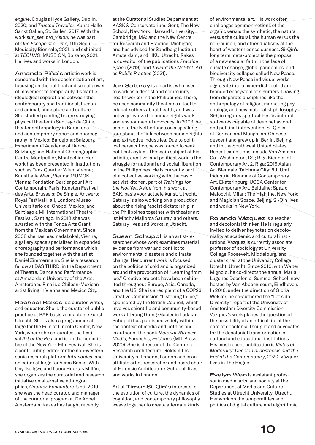*engine*, Douglas Hyde Gallery, Dublin, 2020; and *Trusted Traveller*, Kunst Halle Sankt Gallen, St. Gallen, 2017. With the work *sun\_set. pro\_vision*, he was part of *One Escape at a Time,* 11th Seoul Mediacity Biennale, 2021; and exhibited at *TECHNO*, MUSEION, Bolzano, 2021. He lives and works in London.

Amanda Piña's artistic work is concerned with the decolonization of art, focusing on the political and social power of movement to temporarily dismantle ideological separations between the: contemporary and traditional, human and animal, and nature and culture. She studied painting before studying physical theater in Santiago de Chile, theater anthropology in Barcelona, and contemporary dance and choreography in Mexico; Barcelona; Salzburg Experimental Academy of Dance, Salzburg; and National Choreographic Centre Montpellier, Montpellier. Her work has been presented in institutions such as Tanz Quartier Wien, Vienna; Kunsthalle Wien, Vienna; MUMOK, Vienna; Fondation Cartier pour l'Art Contemporain, Paris; Kunsten Festival des Arts, Brussels; De Single, Antwerp; Royal Festival Hall, London; Museo Universitario del Chopo, Mexico; and Santiago a Mil International Theatre Festival, Santiago. In 2018 she was awarded with the Fonca Arts Grant from the Mexican Government. Since 2008 she has lead nadaLokal, Vienna, a gallery space specialized in expanded choreography and performance which she founded together with the artist Daniel Zimmermann. She is a research fellow at DAS THIRD, in the Department of Theatre, Dance and Performance at Amsterdam University of the Arts, Amsterdam. Piña is a Chilean-Mexican artist living in Vienna and Mexico City.

Rachael Rakes is a curator, writer, and educator. She is the curator of public practice at BAK basis voor actuele kunst, Utrecht. She is also a programmer at large for the Film at Lincoln Center, New York, where she co-curates the festival *Art of the Real* and is on the committee of the New York Film Festival. She is a contributing editor for the non-western sonic research platform *Infrasonica,* and an editor at large for Verso Books. With Onyeka Igwe and Laura Huertas Millán, she organizes the curatorial and research initiative on alternative ethnographies, *Counter-Encounters*. Until 2019, she was the head curator, and manager of the curatorial program at De Appel, Amsterdam. Rakes has taught recently

at the Curatorial Studies Department at KASK & Conservatorium, Gent; The New School, New York; Harvard University, Cambridge, MA; and the New Centre for Research and Practice, Michigan; and has advised for Sandberg Instituut, Amsterdam, and HKU, Utrecht. Rakes is co-editor of the publications *Practice Space* (2019), and *Toward the Not-Yet: Art as Public Practice* (2021).

Jun Saturay is an artist who used to work as a dentist and community health worker in the Philippines. There, he used community theater as a tool to educate others about health, and was actively involved in human rights work and environmental advocacy. In 2003, he came to the Netherlands on a speaking tour about the link between human rights and extractive industries. Due to political persecution he was forced to seek political asylum. The main subject of his artistic, creative, and political work is the struggle for national and social liberation in the Philippines. He is currently part of a collective working with the basic activist kitchen, part of *Trainings for the Not-Yet*. Aside from his work at BAK, basis voor actuele kunst, Utrecht, Saturay is also working on a production about the rising fascist dictatorship in the Philippines together with theater artist Mitchy Mallorca Saturay, and others. Saturay lives and works in Utrecht.

Susan Schuppli is an artist-researcher whose work examines material evidence from war and conflict to environmental disasters and climate change. Her current work is focused on the politics of cold and is organized around the provocation of "Learning from ice." Creative projects have been exhibited throughout Europe, Asia, Canada, and the US. She is a recipient of a COP26 Creative Commission "Listening to Ice," sponsored by the British Council, which involves scientific and community-based work at Drang Drung Glacier in Ladakh. Schuppli has published widely within the context of media and politics and is author of the book *Material Witness: Media, Forensics, Evidence* (MIT Press, 2020). She is director of the Centre for Research Architecture, Goldsmiths University of London, London and is an affiliate artist-researcher and board chair of Forensic Architecture. Schuppli lives and works in London.

Artist Timur Si-Qin's interests in the evolution of culture, the dynamics of cognition, and contemporary philosophy weave together to create alternate kinds of environmental art. His work often challenges common notions of the organic versus the synthetic, the natural versus the cultural, the human versus the non-human, and other dualisms at the heart of western consciousness. Si-Qin's long term meta-project is the proposal of a new secular faith in the face of climate change, global pandemics, and biodiversity collapse called New Peace. Through New Peace individual works aggregate into a hyper-distributed and branded ecosystem of signifiers. Drawing from disparate disciplines like the anthropology of religion, marketing psychology, and new materialist philosophy, Si-Qin regards spiritualities as cultural softwares capable of deep behavioral and political intervention. Si-Qin is of German and Mongolian-Chinese descent and grew up in Berlin, Beijing, and in the Southwest United States. Recent exhibitions include Von Ammon Co., Washington, DC; Riga Biennial of Contemporary Art 2, Riga; 2019 Asian Art Biennale, Taichung City; 5th Ural Industrial Biennale of Contemporary Art, Ekaterinburg; UCCA Center for Contemporary Art, Beidaihe; Spazio Maiocchi, Milan; The Highline, New York; and Magician Space, Beijing. Si-Qin lives and works in New York.

Rolando Vázquez is a teacher and decolonial thinker. He is regularly invited to deliver keynotes on decoloniality at academic and cultural institutions. Vázquez is currently associate professor of sociology at University College Roosevelt, Middelburg, and cluster chair at the University College Utrecht, Utrecht. Since 2010, with Walter Mignolo, he co-directs the annual Maria Lugones Decolonial Summer School, now hosted by Van Abbemuseum, Eindhoven. In 2016, under the direction of Gloria Wekker, he co-authored the "Let's do Diversity" report of the University of Amsterdam Diversity Commission. Vázquez's work places the question of the possibility of an ethical life at the core of decolonial thought and advocates for the decolonial transformation of cultural and educational institutions. His most recent publication is *Vistas of Modernity: Decolonial aesthesis and the End of the Contemporary*, 2020. Vázquez lives in The Hague.

Evelyn Wan is assistant professor in media, arts, and society at the Department of Media and Culture Studies at Utrecht University, Utrecht. Her work on the temporalities and politics of digital culture and algorithmic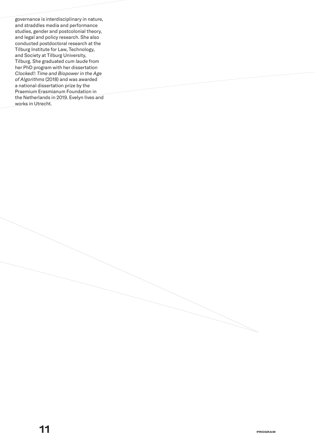governance is interdisciplinary in nature, and straddles media and performance studies, gender and postcolonial theory, and legal and policy research. She also conducted postdoctoral research at the Tilburg Institute for Law, Technology, and Society at Tilburg University, Tilburg. She graduated *cum laude* from her PhD program with her dissertation *Clocked!: Time and Biopower in the Age of Algorithms* (2018) and was awarded a national dissertation prize by the Praemium Erasmianum Foundation in the Netherlands in 2019. Evelyn lives and works in Utrecht.